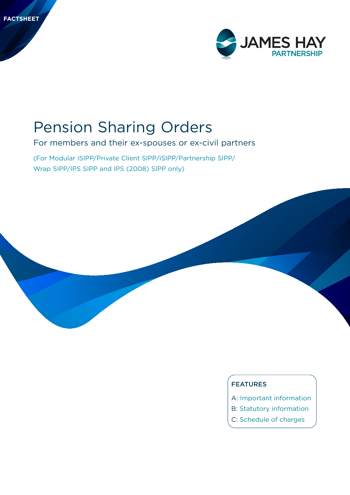

# Pension Sharing Orders

For members and their ex-spouses or ex-civil partners

(For Modular iSIPP/Private Client SIPP/iSIPP/Partnership SIPP/

### FEATURES

- A: Important information
- B: Statutory information
- C: Schedule of charges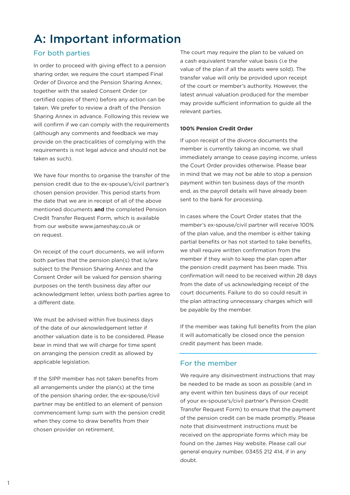## A: Important information

## For both parties

In order to proceed with giving effect to a pension sharing order, we require the court stamped Final Order of Divorce and the Pension Sharing Annex, together with the sealed Consent Order (or certified copies of them) before any action can be taken. We prefer to review a draft of the Pension Sharing Annex in advance. Following this review we will confirm if we can comply with the requirements (although any comments and feedback we may provide on the practicalities of complying with the requirements is not legal advice and should not be taken as such).

We have four months to organise the transfer of the pension credit due to the ex-spouse's/civil partner's chosen pension provider. This period starts from the date that we are in receipt of all of the above mentioned documents **and** the completed Pension Credit Transfer Request Form, which is available from our website www.jameshay.co.uk or on request.

On receipt of the court documents, we will inform both parties that the pension plan(s) that is/are subject to the Pension Sharing Annex and the Consent Order will be valued for pension sharing purposes on the tenth business day after our acknowledgment letter, unless both parties agree to a different date.

We must be advised within five business days of the date of our aknowledgement letter if another valuation date is to be considered. Please bear in mind that we will charge for time spent on arranging the pension credit as allowed by applicable legislation.

If the SIPP member has not taken benefits from all arrangements under the plan(s) at the time of the pension sharing order, the ex-spouse/civil partner may be entitled to an element of pension commencement lump sum with the pension credit when they come to draw benefits from their chosen provider on retirement.

The court may require the plan to be valued on a cash equivalent transfer value basis (i.e the value of the plan if all the assets were sold). The transfer value will only be provided upon receipt of the court or member's authority. However, the latest annual valuation produced for the member may provide sufficient information to guide all the relevant parties.

#### **100% Pension Credit Order**

If upon receipt of the divorce documents the member is currently taking an income, we shall immediately arrange to cease paying income, unless the Court Order provides otherwise. Please bear in mind that we may not be able to stop a pension payment within ten business days of the month end, as the payroll details will have already been sent to the bank for processing.

In cases where the Court Order states that the member's ex-spouse/civil partner will receive 100% of the plan value, and the member is either taking partial benefits or has not started to take benefits, we shall require written confirmation from the member if they wish to keep the plan open after the pension credit payment has been made. This confirmation will need to be received within 28 days from the date of us acknowledging receipt of the court documents. Failure to do so could result in the plan attracting unnecessary charges which will be payable by the member.

If the member was taking full benefits from the plan it will automatically be closed once the pension credit payment has been made.

## For the member

We require any disinvestment instructions that may be needed to be made as soon as possible (and in any event within ten business days of our receipt of your ex-spouse's/civil partner's Pension Credit Transfer Request Form) to ensure that the payment of the pension credit can be made promptly. Please note that disinvestment instructions must be received on the appropriate forms which may be found on the James Hay website. Please call our general enquiry number, 03455 212 414, if in any doubt.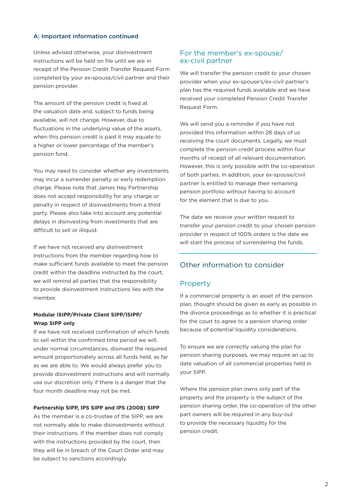#### A: Important information continued

Unless advised otherwise, your disinvestment instructions will be held on file until we are in receipt of the Pension Credit Transfer Request Form completed by your ex-spouse/civil partner and their pension provider.

The amount of the pension credit is fixed at the valuation date and, subject to funds being available, will not change. However, due to fluctuations in the underlying value of the assets, when this pension credit is paid it may equate to a higher or lower percentage of the member's pension fund.

You may need to consider whether any investments may incur a surrender penalty or early redemption charge. Please note that James Hay Partnership does not accept responsibility for any charge or penalty in respect of disinvestments from a third party. Please also take into account any potential delays in disinvesting from investments that are difficult to sell or illiquid.

If we have not received any disinvestment instructions from the member regarding how to make sufficient funds available to meet the pension credit within the deadline instructed by the court, we will remind all parties that the responsibility to provide disinvestment instructions lies with the member.

#### **Modular iSIPP/Private Client SIPP/iSIPP/ Wrap SIPP only**

If we have not received confirmation of which funds to sell within the confirmed time period we will, under normal circumstances, disinvest the required amount proportionately across all funds held, as far as we are able to. We would always prefer you to provide disinvestment instructions and will normally use our discretion only if there is a danger that the four month deadline may not be met.

#### **Partnership SIPP, IPS SIPP and IPS (2008) SIPP**

As the member is a co-trustee of the SIPP, we are not normally able to make disinvestments without their instructions. If the member does not comply with the instructions provided by the court, then they will be in breach of the Court Order and may be subject to sanctions accordingly.

## For the member's ex-spouse/ ex-civil partner

We will transfer the pension credit to your chosen provider when your ex-spouse's/ex-civil partner's plan has the required funds available and we have received your completed Pension Credit Transfer Request Form.

We will send you a reminder if you have not provided this information within 28 days of us receiving the court documents. Legally, we must complete the pension credit process within four months of receipt of all relevant documentation. However, this is only possible with the co-operation of both parties. In addition, your ex-spouse/civil partner is entitled to manage their remaining pension portfolio without having to account for the element that is due to you.

The date we receive your written request to transfer your pension credit to your chosen pension provider in respect of 100% orders is the date we will start the process of surrendering the funds.

## Other information to consider

#### Property

If a commercial property is an asset of the pension plan, thought should be given as early as possible in the divorce proceedings as to whether it is practical for the court to agree to a pension sharing order because of potential liquidity considerations.

To ensure we are correctly valuing the plan for pension sharing purposes, we may require an up to date valuation of all commercial properties held in your SIPP.

Where the pension plan owns only part of the property and the property is the subject of the pension sharing order, the co-operation of the other part owners will be required in any buy-out to provide the necessary liquidity for the pension credit.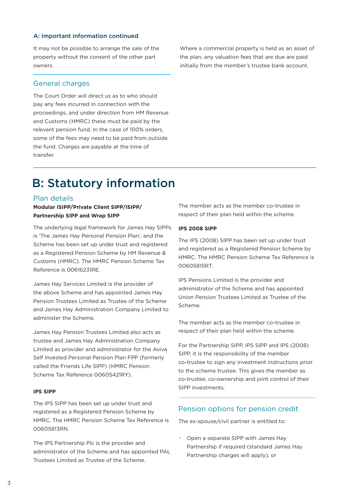#### A: Important information continued

It may not be possible to arrange the sale of the property without the consent of the other part owners.

#### General charges

The Court Order will direct us as to who should pay any fees incurred in connection with the proceedings, and under direction from HM Revenue and Customs (HMRC) these must be paid by the relevant pension fund. In the case of 100% orders, some of the fees may need to be paid from outside the fund. Charges are payable at the time of transfer.

Where a commercial property is held as an asset of the plan, any valuation fees that are due are paid initially from the member's trustee bank account.

## B: Statutory information

#### Plan details

#### **Modular iSIPP/Private Client SIPP/iSIPP/ Partnership SIPP and Wrap SIPP**

The underlying legal framework for James Hay SIPPs is 'The James Hay Personal Pension Plan', and the Scheme has been set up under trust and registered as a Registered Pension Scheme by HM Revenue & Customs (HMRC). The HMRC Pension Scheme Tax Reference is 00616231RE.

James Hay Services Limited is the provider of the above Scheme and has appointed James Hay Pension Trustees Limited as Trustee of the Scheme and James Hay Administration Company Limited to administer the Scheme.

James Hay Pension Trustees Limited also acts as trustee and James Hay Administration Company Limited as provider and administrator for the Aviva Self Invested Personal Pension Plan FPP (formerly called the Friends Life SIPP) (HMRC Pension Scheme Tax Reference 00605421RY).

#### **IPS SIPP**

The IPS SIPP has been set up under trust and registered as a Registered Pension Scheme by HMRC. The HMRC Pension Scheme Tax Reference is 00605813RN.

The IPS Partnership Plc is the provider and administrator of the Scheme and has appointed PAL Trustees Limited as Trustee of the Scheme.

The member acts as the member co-trustee in respect of their plan held within the scheme.

#### **IPS 2008 SIPP**

The IPS (2008) SIPP has been set up under trust and registered as a Registered Pension Scheme by HMRC. The HMRC Pension Scheme Tax Reference is 00605815RT.

IPS Pensions Limited is the provider and administrator of the Scheme and has appointed Union Pension Trustees Limited as Trustee of the Scheme.

The member acts as the member co-trustee in respect of their plan held within the scheme.

For the Partnership SIPP, IPS SIPP and IPS (2008) SIPP, it is the responsibility of the member co-trustee to sign any investment instructions prior to the scheme trustee. This gives the member as co-trustee, co-ownership and joint control of their SIPP investments.

## Pension options for pension credit

The ex-spouse/civil partner is entitled to:

• Open a separate SIPP with James Hay Partnership if required (standard James Hay Partnership charges will apply), or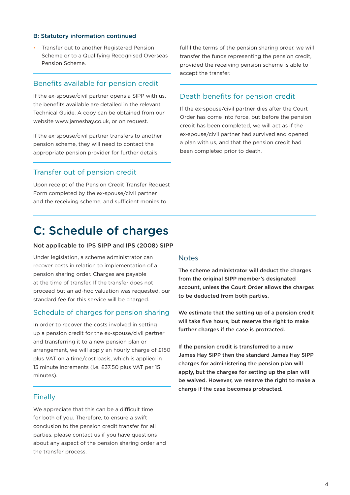#### B: Statutory information continued

• Transfer out to another Registered Pension Scheme or to a Qualifying Recognised Overseas Pension Scheme.

#### Benefits available for pension credit

If the ex-spouse/civil partner opens a SIPP with us, the benefits available are detailed in the relevant Technical Guide. A copy can be obtained from our website www.jameshay.co.uk, or on request.

If the ex-spouse/civil partner transfers to another pension scheme, they will need to contact the appropriate pension provider for further details.

#### Transfer out of pension credit

Upon receipt of the Pension Credit Transfer Request Form completed by the ex-spouse/civil partner and the receiving scheme, and sufficient monies to

fulfil the terms of the pension sharing order, we will transfer the funds representing the pension credit, provided the receiving pension scheme is able to accept the transfer.

### Death benefits for pension credit

If the ex-spouse/civil partner dies after the Court Order has come into force, but before the pension credit has been completed, we will act as if the ex-spouse/civil partner had survived and opened a plan with us, and that the pension credit had been completed prior to death.

## C: Schedule of charges

#### Not applicable to IPS SIPP and IPS (2008) SIPP

Under legislation, a scheme administrator can recover costs in relation to implementation of a pension sharing order. Charges are payable at the time of transfer. If the transfer does not proceed but an ad-hoc valuation was requested, our standard fee for this service will be charged.

#### Schedule of charges for pension sharing

In order to recover the costs involved in setting up a pension credit for the ex-spouse/civil partner and transferring it to a new pension plan or arrangement, we will apply an hourly charge of £150 plus VAT on a time/cost basis, which is applied in 15 minute increments (i.e. £37.50 plus VAT per 15 minutes).

#### Finally

We appreciate that this can be a difficult time for both of you. Therefore, to ensure a swift conclusion to the pension credit transfer for all parties, please contact us if you have questions about any aspect of the pension sharing order and the transfer process.

#### **Notes**

The scheme administrator will deduct the charges from the original SIPP member's designated account, unless the Court Order allows the charges to be deducted from both parties.

We estimate that the setting up of a pension credit will take five hours, but reserve the right to make further charges if the case is protracted.

If the pension credit is transferred to a new James Hay SIPP then the standard James Hay SIPP charges for administering the pension plan will apply, but the charges for setting up the plan will be waived. However, we reserve the right to make a charge if the case becomes protracted.